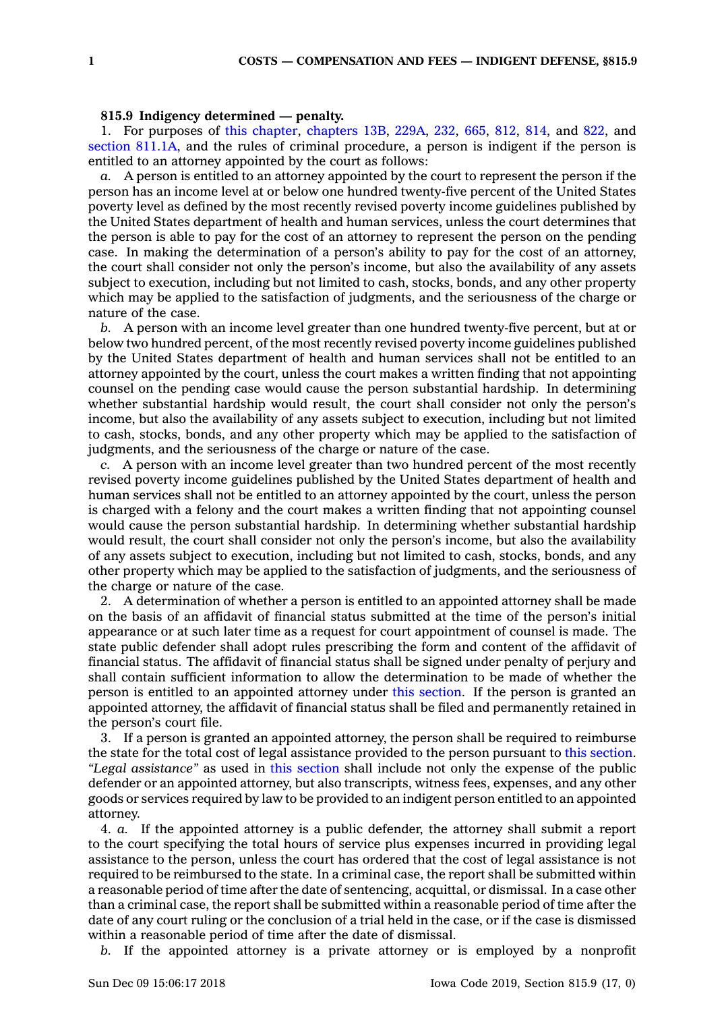## **815.9 Indigency determined — penalty.**

1. For purposes of this [chapter](https://www.legis.iowa.gov/docs/code//815.pdf), [chapters](https://www.legis.iowa.gov/docs/code//13B.pdf) 13B, [229A](https://www.legis.iowa.gov/docs/code//229A.pdf), [232](https://www.legis.iowa.gov/docs/code//232.pdf), [665](https://www.legis.iowa.gov/docs/code//665.pdf), [812](https://www.legis.iowa.gov/docs/code//812.pdf), [814](https://www.legis.iowa.gov/docs/code//814.pdf), and [822](https://www.legis.iowa.gov/docs/code//822.pdf), and section [811.1A](https://www.legis.iowa.gov/docs/code/811.1A.pdf), and the rules of criminal procedure, <sup>a</sup> person is indigent if the person is entitled to an attorney appointed by the court as follows:

*a.* A person is entitled to an attorney appointed by the court to represent the person if the person has an income level at or below one hundred twenty-five percent of the United States poverty level as defined by the most recently revised poverty income guidelines published by the United States department of health and human services, unless the court determines that the person is able to pay for the cost of an attorney to represent the person on the pending case. In making the determination of <sup>a</sup> person's ability to pay for the cost of an attorney, the court shall consider not only the person's income, but also the availability of any assets subject to execution, including but not limited to cash, stocks, bonds, and any other property which may be applied to the satisfaction of judgments, and the seriousness of the charge or nature of the case.

*b.* A person with an income level greater than one hundred twenty-five percent, but at or below two hundred percent, of the most recently revised poverty income guidelines published by the United States department of health and human services shall not be entitled to an attorney appointed by the court, unless the court makes <sup>a</sup> written finding that not appointing counsel on the pending case would cause the person substantial hardship. In determining whether substantial hardship would result, the court shall consider not only the person's income, but also the availability of any assets subject to execution, including but not limited to cash, stocks, bonds, and any other property which may be applied to the satisfaction of judgments, and the seriousness of the charge or nature of the case.

*c.* A person with an income level greater than two hundred percent of the most recently revised poverty income guidelines published by the United States department of health and human services shall not be entitled to an attorney appointed by the court, unless the person is charged with <sup>a</sup> felony and the court makes <sup>a</sup> written finding that not appointing counsel would cause the person substantial hardship. In determining whether substantial hardship would result, the court shall consider not only the person's income, but also the availability of any assets subject to execution, including but not limited to cash, stocks, bonds, and any other property which may be applied to the satisfaction of judgments, and the seriousness of the charge or nature of the case.

2. A determination of whether <sup>a</sup> person is entitled to an appointed attorney shall be made on the basis of an affidavit of financial status submitted at the time of the person's initial appearance or at such later time as <sup>a</sup> request for court appointment of counsel is made. The state public defender shall adopt rules prescribing the form and content of the affidavit of financial status. The affidavit of financial status shall be signed under penalty of perjury and shall contain sufficient information to allow the determination to be made of whether the person is entitled to an appointed attorney under this [section](https://www.legis.iowa.gov/docs/code/815.9.pdf). If the person is granted an appointed attorney, the affidavit of financial status shall be filed and permanently retained in the person's court file.

3. If <sup>a</sup> person is granted an appointed attorney, the person shall be required to reimburse the state for the total cost of legal assistance provided to the person pursuant to this [section](https://www.legis.iowa.gov/docs/code/815.9.pdf). *"Legal assistance"* as used in this [section](https://www.legis.iowa.gov/docs/code/815.9.pdf) shall include not only the expense of the public defender or an appointed attorney, but also transcripts, witness fees, expenses, and any other goods or services required by law to be provided to an indigent person entitled to an appointed attorney.

4. *a.* If the appointed attorney is <sup>a</sup> public defender, the attorney shall submit <sup>a</sup> report to the court specifying the total hours of service plus expenses incurred in providing legal assistance to the person, unless the court has ordered that the cost of legal assistance is not required to be reimbursed to the state. In <sup>a</sup> criminal case, the report shall be submitted within <sup>a</sup> reasonable period of time after the date of sentencing, acquittal, or dismissal. In <sup>a</sup> case other than <sup>a</sup> criminal case, the report shall be submitted within <sup>a</sup> reasonable period of time after the date of any court ruling or the conclusion of <sup>a</sup> trial held in the case, or if the case is dismissed within <sup>a</sup> reasonable period of time after the date of dismissal.

*b.* If the appointed attorney is <sup>a</sup> private attorney or is employed by <sup>a</sup> nonprofit